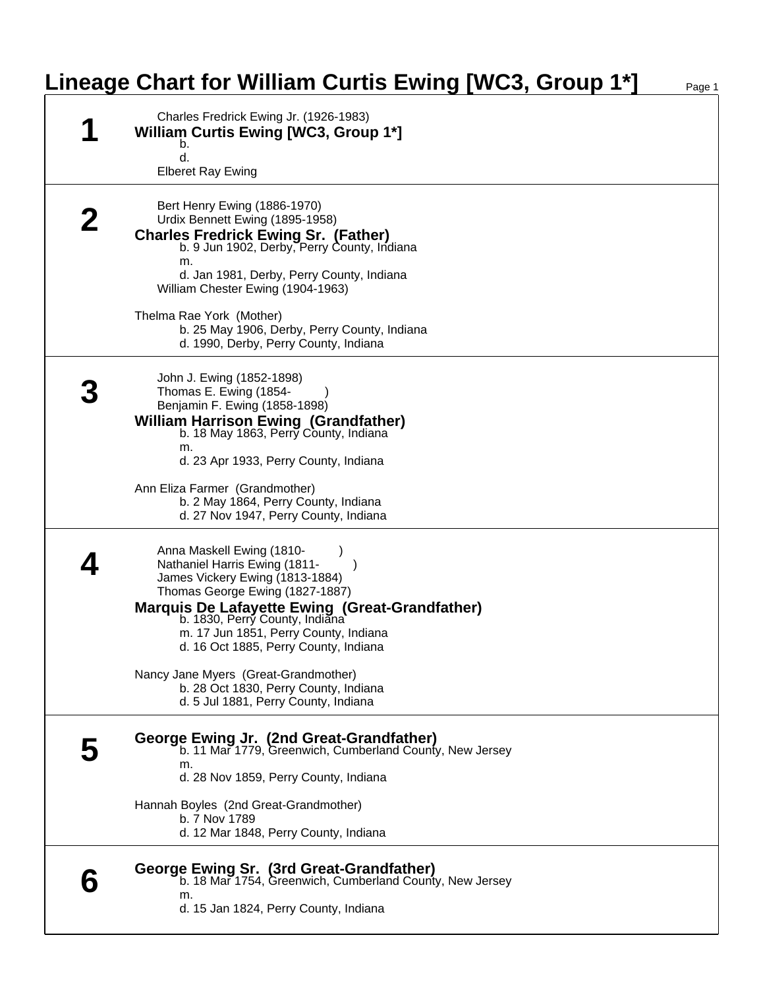## **Lineage Chart for William Curtis Ewing [WC3, Group 1\*]**

| Charles Fredrick Ewing Jr. (1926-1983)<br><b>William Curtis Ewing [WC3, Group 1*]</b><br>b.<br>d.                                                                                                                                                                                                                              |
|--------------------------------------------------------------------------------------------------------------------------------------------------------------------------------------------------------------------------------------------------------------------------------------------------------------------------------|
| <b>Elberet Ray Ewing</b>                                                                                                                                                                                                                                                                                                       |
| Bert Henry Ewing (1886-1970)<br>Urdix Bennett Ewing (1895-1958)<br><b>Charles Fredrick Ewing Sr. (Father)</b><br>b. 9 Jun 1902, Derby, Perry County, Indiana<br>m.<br>d. Jan 1981, Derby, Perry County, Indiana<br>William Chester Ewing (1904-1963)                                                                           |
| Thelma Rae York (Mother)<br>b. 25 May 1906, Derby, Perry County, Indiana<br>d. 1990, Derby, Perry County, Indiana                                                                                                                                                                                                              |
| John J. Ewing (1852-1898)<br>Thomas E. Ewing (1854-<br>Benjamin F. Ewing (1858-1898)<br><b>William Harrison Ewing (Grandfather)</b><br>b. 18 May 1863, Perry County, Indiana<br>m.<br>d. 23 Apr 1933, Perry County, Indiana                                                                                                    |
| Ann Eliza Farmer (Grandmother)<br>b. 2 May 1864, Perry County, Indiana<br>d. 27 Nov 1947, Perry County, Indiana                                                                                                                                                                                                                |
| Anna Maskell Ewing (1810-<br>Nathaniel Harris Ewing (1811-<br>$\rightarrow$<br>James Vickery Ewing (1813-1884)<br>Thomas George Ewing (1827-1887)<br><b>Marquis De Lafayette Ewing (Great-Grandfather)</b><br>b. 1830, Perry County, Indiana<br>m. 17 Jun 1851, Perry County, Indiana<br>d. 16 Oct 1885, Perry County, Indiana |
| Nancy Jane Myers (Great-Grandmother)<br>b. 28 Oct 1830, Perry County, Indiana<br>d. 5 Jul 1881, Perry County, Indiana                                                                                                                                                                                                          |
| George Ewing Jr. (2nd Great-Grandfather)<br>b. 11 Mar 1779, Greenwich, Cumberland County, New Jersey<br>m.<br>d. 28 Nov 1859, Perry County, Indiana                                                                                                                                                                            |
| Hannah Boyles (2nd Great-Grandmother)<br>b. 7 Nov 1789<br>d. 12 Mar 1848, Perry County, Indiana                                                                                                                                                                                                                                |
| George Ewing Sr. (3rd Great-Grandfather)<br>b. 18 Mar 1754, Greenwich, Cumberland County, New Jersey<br>m.<br>d. 15 Jan 1824, Perry County, Indiana                                                                                                                                                                            |